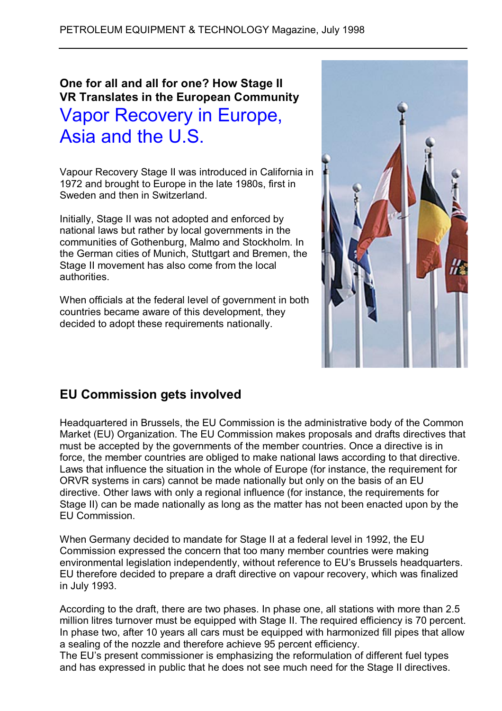# **One for all and all for one? How Stage II VR Translates in the European Community** Vapor Recovery in Europe, Asia and the U.S.

Vapour Recovery Stage II was introduced in California in 1972 and brought to Europe in the late 1980s, first in Sweden and then in Switzerland.

Initially, Stage II was not adopted and enforced by national laws but rather by local governments in the communities of Gothenburg, Malmo and Stockholm. In the German cities of Munich, Stuttgart and Bremen, the Stage II movement has also come from the local authorities.

When officials at the federal level of government in both countries became aware of this development, they decided to adopt these requirements nationally.



## **EU Commission gets involved**

Headquartered in Brussels, the EU Commission is the administrative body of the Common Market (EU) Organization. The EU Commission makes proposals and drafts directives that must be accepted by the governments of the member countries. Once a directive is in force, the member countries are obliged to make national laws according to that directive. Laws that influence the situation in the whole of Europe (for instance, the requirement for ORVR systems in cars) cannot be made nationally but only on the basis of an EU directive. Other laws with only a regional influence (for instance, the requirements for Stage II) can be made nationally as long as the matter has not been enacted upon by the EU Commission.

When Germany decided to mandate for Stage II at a federal level in 1992, the EU Commission expressed the concern that too many member countries were making environmental legislation independently, without reference to EU's Brussels headquarters. EU therefore decided to prepare a draft directive on vapour recovery, which was finalized in July 1993.

According to the draft, there are two phases. In phase one, all stations with more than 2.5 million litres turnover must be equipped with Stage II. The required efficiency is 70 percent. In phase two, after 10 years all cars must be equipped with harmonized fill pipes that allow a sealing of the nozzle and therefore achieve 95 percent efficiency.

The EU's present commissioner is emphasizing the reformulation of different fuel types and has expressed in public that he does not see much need for the Stage II directives.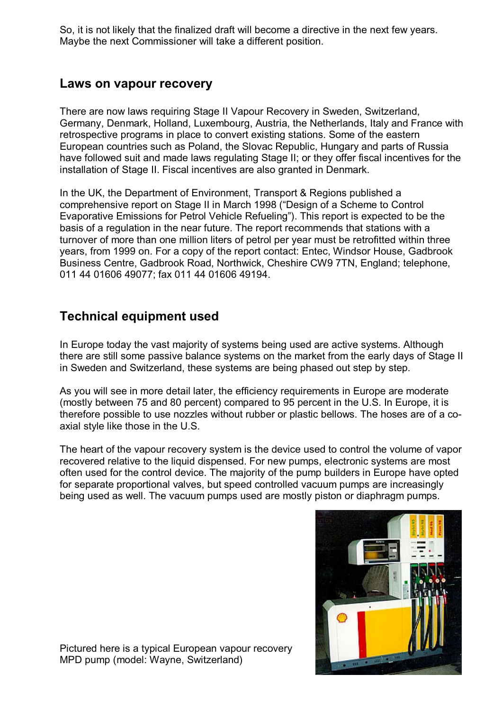So, it is not likely that the finalized draft will become a directive in the next few years. Maybe the next Commissioner will take a different position.

### **Laws on vapour recovery**

There are now laws requiring Stage II Vapour Recovery in Sweden, Switzerland, Germany, Denmark, Holland, Luxembourg, Austria, the Netherlands, Italy and France with retrospective programs in place to convert existing stations. Some of the eastern European countries such as Poland, the Slovac Republic, Hungary and parts of Russia have followed suit and made laws regulating Stage II; or they offer fiscal incentives for the installation of Stage II. Fiscal incentives are also granted in Denmark.

In the UK, the Department of Environment, Transport & Regions published a comprehensive report on Stage II in March 1998 ("Design of a Scheme to Control Evaporative Emissions for Petrol Vehicle Refueling"). This report is expected to be the basis of a regulation in the near future. The report recommends that stations with a turnover of more than one million liters of petrol per year must be retrofitted within three years, from 1999 on. For a copy of the report contact: Entec, Windsor House, Gadbrook Business Centre, Gadbrook Road, Northwick, Cheshire CW9 7TN, England; telephone, 011 44 01606 49077; fax 011 44 01606 49194.

## **Technical equipment used**

In Europe today the vast majority of systems being used are active systems. Although there are still some passive balance systems on the market from the early days of Stage II in Sweden and Switzerland, these systems are being phased out step by step.

As you will see in more detail later, the efficiency requirements in Europe are moderate (mostly between 75 and 80 percent) compared to 95 percent in the U.S. In Europe, it is therefore possible to use nozzles without rubber or plastic bellows. The hoses are of a coaxial style like those in the U.S.

The heart of the vapour recovery system is the device used to control the volume of vapor recovered relative to the liquid dispensed. For new pumps, electronic systems are most often used for the control device. The majority of the pump builders in Europe have opted for separate proportional valves, but speed controlled vacuum pumps are increasingly being used as well. The vacuum pumps used are mostly piston or diaphragm pumps.



Pictured here is a typical European vapour recovery MPD pump (model: Wayne, Switzerland)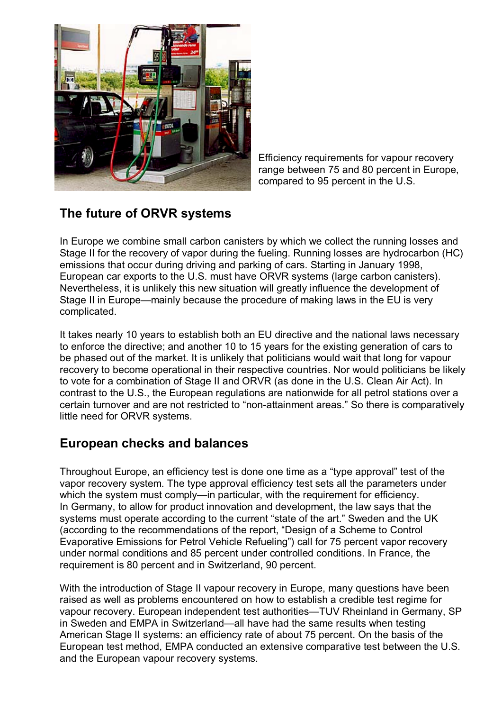

Efficiency requirements for vapour recovery range between 75 and 80 percent in Europe, compared to 95 percent in the U.S.

## **The future of ORVR systems**

In Europe we combine small carbon canisters by which we collect the running losses and Stage II for the recovery of vapor during the fueling. Running losses are hydrocarbon (HC) emissions that occur during driving and parking of cars. Starting in January 1998, European car exports to the U.S. must have ORVR systems (large carbon canisters). Nevertheless, it is unlikely this new situation will greatly influence the development of Stage II in Europe—mainly because the procedure of making laws in the EU is very complicated.

It takes nearly 10 years to establish both an EU directive and the national laws necessary to enforce the directive; and another 10 to 15 years for the existing generation of cars to be phased out of the market. It is unlikely that politicians would wait that long for vapour recovery to become operational in their respective countries. Nor would politicians be likely to vote for a combination of Stage II and ORVR (as done in the U.S. Clean Air Act). In contrast to the U.S., the European regulations are nationwide for all petrol stations over a certain turnover and are not restricted to "non-attainment areas." So there is comparatively little need for ORVR systems.

## **European checks and balances**

Throughout Europe, an efficiency test is done one time as a "type approval" test of the vapor recovery system. The type approval efficiency test sets all the parameters under which the system must comply—in particular, with the requirement for efficiency. In Germany, to allow for product innovation and development, the law says that the systems must operate according to the current "state of the art." Sweden and the UK (according to the recommendations of the report, "Design of a Scheme to Control Evaporative Emissions for Petrol Vehicle Refueling") call for 75 percent vapor recovery under normal conditions and 85 percent under controlled conditions. In France, the requirement is 80 percent and in Switzerland, 90 percent.

With the introduction of Stage II vapour recovery in Europe, many questions have been raised as well as problems encountered on how to establish a credible test regime for vapour recovery. European independent test authorities—TUV Rheinland in Germany, SP in Sweden and EMPA in Switzerland—all have had the same results when testing American Stage II systems: an efficiency rate of about 75 percent. On the basis of the European test method, EMPA conducted an extensive comparative test between the U.S. and the European vapour recovery systems.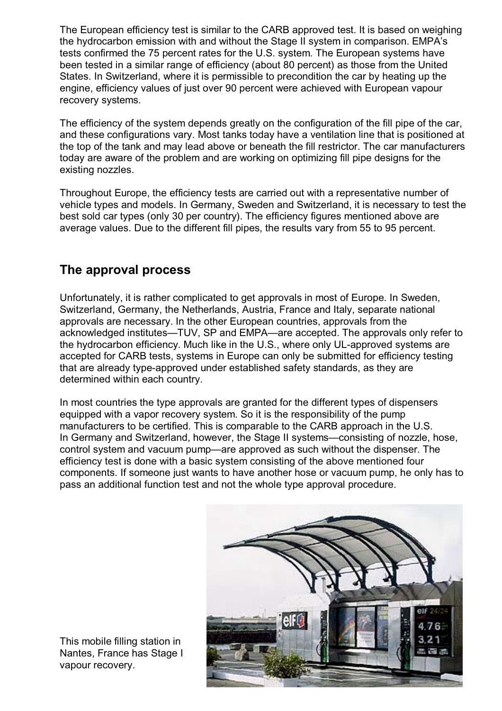The European efficiency test is similar to the CARB approved test. It is based on weighing the hydrocarbon emission with and without the Stage II system in comparison. EMPA's tests confirmed the 75 percent rates for the U.S. system. The European systems have been tested in a similar range of efficiency (about 80 percent) as those from the United States. In Switzerland, where it is permissible to precondition the car by heating up the engine, efficiency values of just over 90 percent were achieved with European vapour recovery systems.

The efficiency of the system depends greatly on the configuration of the fill pipe of the car, and these configurations vary. Most tanks today have a ventilation line that is positioned at the top of the tank and may lead above or beneath the fill restrictor. The car manufacturers today are aware of the problem and are working on optimizing fill pipe designs for the existing nozzles.

Throughout Europe, the efficiency tests are carried out with a representative number of vehicle types and models. In Germany, Sweden and Switzerland, it is necessary to test the best sold car types (only 30 per country). The efficiency figures mentioned above are average values. Due to the different fill pipes, the results vary from 55 to 95 percent.

## **The approval process**

Unfortunately, it is rather complicated to get approvals in most of Europe. In Sweden, Switzerland, Germany, the Netherlands, Austria, France and Italy, separate national approvals are necessary. In the other European countries, approvals from the acknowledged institutes—TUV, SP and EMPA—are accepted. The approvals only refer to the hydrocarbon efficiency. Much like in the U.S., where only UL-approved systems are accepted for CARB tests, systems in Europe can only be submitted for efficiency testing that are already type-approved under established safety standards, as they are determined within each country.

In most countries the type approvals are granted for the different types of dispensers equipped with a vapor recovery system. So it is the responsibility of the pump manufacturers to be certified. This is comparable to the CARB approach in the U.S. In Germany and Switzerland, however, the Stage II systems—consisting of nozzle, hose, control system and vacuum pump—are approved as such without the dispenser. The efficiency test is done with a basic system consisting of the above mentioned four components. If someone just wants to have another hose or vacuum pump, he only has to pass an additional function test and not the whole type approval procedure.



This mobile filling station in Nantes, France has Stage I vapour recovery.